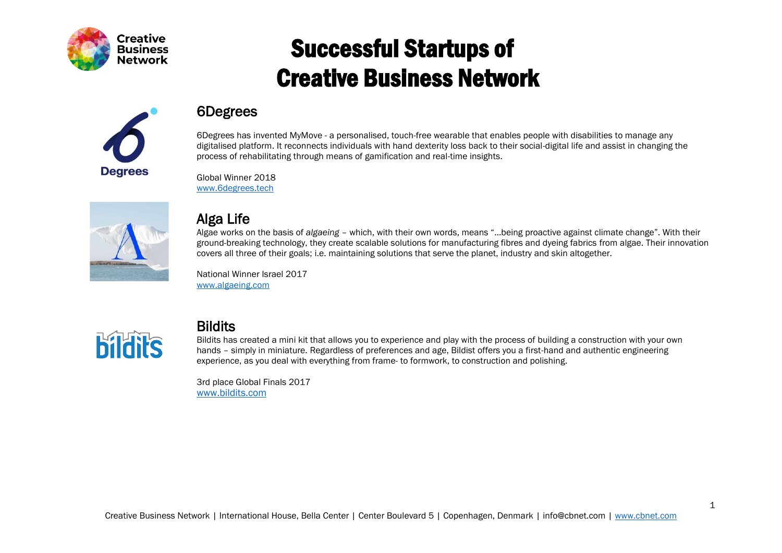



#### 6Degrees

6Degrees has invented MyMove - a personalised, touch-free wearable that enables people with disabilities to manage any digitalised platform. It reconnects individuals with hand dexterity loss back to their social-digital life and assist in changing the process of rehabilitating through means of gamification and real-time insights.

Global Winner 2018 [www.6degrees.tech](http://www.6degrees.tech/)



#### Alga Life

Algae works on the basis of *algaeing* – which, with their own words, means "…being proactive against climate change". With their ground-breaking technology, they create scalable solutions for manufacturing fibres and dyeing fabrics from algae. Their innovation covers all three of their goals; i.e. maintaining solutions that serve the planet, industry and skin altogether.

National Winner Israel 2017 [www.algaeing.com](http://www.algaeing.com/)



#### **Bildits**

Bildits has created a mini kit that allows you to experience and play with the process of building a construction with your own hands – simply in miniature. Regardless of preferences and age, Bildist offers you a first-hand and authentic engineering experience, as you deal with everything from frame- to formwork, to construction and polishing.

3rd place Global Finals 2017 [www.bildits.com](http://www.bildits.com/)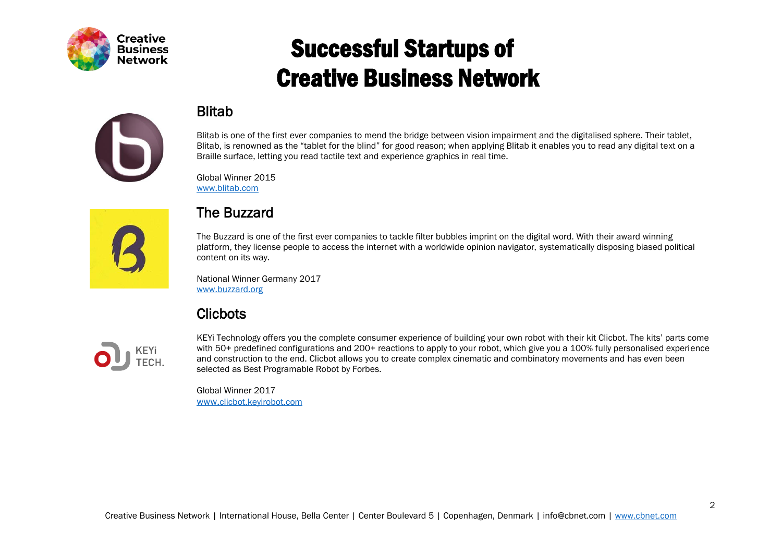

#### Blitab



Global Winner 2015 [www.blitab.com](http://www.blitab.com/)



#### The Buzzard

The Buzzard is one of the first ever companies to tackle filter bubbles imprint on the digital word. With their award winning platform, they license people to access the internet with a worldwide opinion navigator, systematically disposing biased political content on its way.

National Winner Germany 2017 [www.buzzard.org](http://www.buzzard.org/)

#### **Clicbots**



KEYi Technology offers you the complete consumer experience of building your own robot with their kit Clicbot. The kits' parts come with 50+ predefined configurations and 200+ reactions to apply to your robot, which give you a 100% fully personalised experience and construction to the end. Clicbot allows you to create complex cinematic and combinatory movements and has even been selected as Best Programable Robot by Forbes.

Global Winner 2017 [www.](http://www.clicbot.keyirobot.com/)[clicbot.keyirobot.com](http://www.clicbot.keyirobot.com/)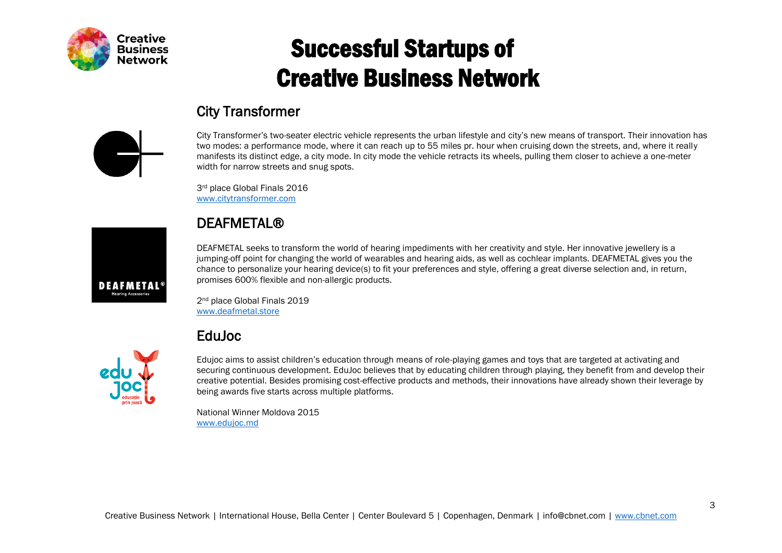

#### City Transformer

City Transformer's two-seater electric vehicle represents the urban lifestyle and city's new means of transport. Their innovation has two modes: a performance mode, where it can reach up to 55 miles pr. hour when cruising down the streets, and, where it really manifests its distinct edge, a city mode. In city mode the vehicle retracts its wheels, pulling them closer to achieve a one-meter width for narrow streets and snug spots.

3rd place Global Finals 2016 [www.citytransformer.com](https://www.citytransformer.com/)

#### **DEAFMETAL®**

DEAFMETAL seeks to transform the world of hearing impediments with her creativity and style. Her innovative jewellery is a jumping-off point for changing the world of wearables and hearing aids, as well as cochlear implants. DEAFMETAL gives you the chance to personalize your hearing device(s) to fit your preferences and style, offering a great diverse selection and, in return, promises 600% flexible and non-allergic products.

2<sup>nd</sup> place Global Finals 2019 [www.deafmetal.store](https://www.deafmetal.store/)

#### EduJoc



Edujoc aims to assist children's education through means of role-playing games and toys that are targeted at activating and securing continuous development. EduJoc believes that by educating children through playing, they benefit from and develop their creative potential. Besides promising cost-effective products and methods, their innovations have already shown their leverage by being awards five starts across multiple platforms.

National Winner Moldova 2015 [www.edujoc.md](http://www.edujoc.md/)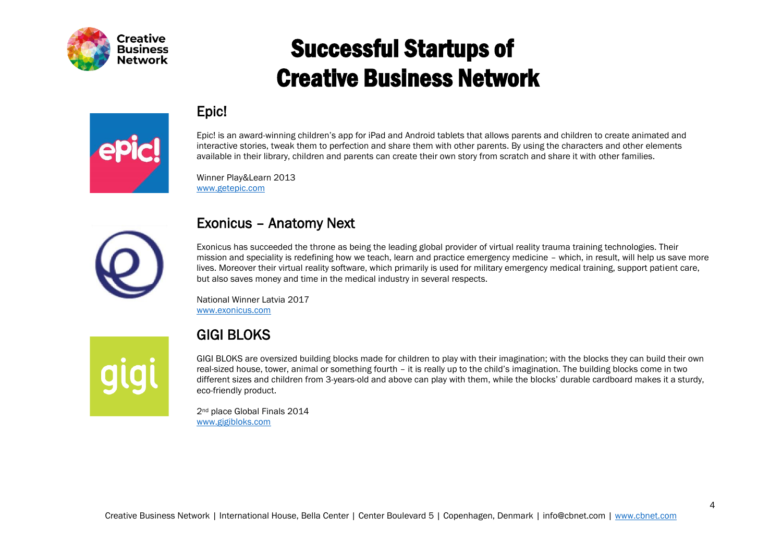

#### Epic!



Epic! is an award-winning children's app for iPad and Android tablets that allows parents and children to create animated and interactive stories, tweak them to perfection and share them with other parents. By using the characters and other elements available in their library, children and parents can create their own story from scratch and share it with other families.

Winner Play&Learn 2013 [www.getepic.com](http://www.getepic.com/)



#### Exonicus – Anatomy Next

Exonicus has succeeded the throne as being the leading global provider of virtual reality trauma training technologies. Their mission and speciality is redefining how we teach, learn and practice emergency medicine – which, in result, will help us save more lives. Moreover their virtual reality software, which primarily is used for military emergency medical training, support patient care, but also saves money and time in the medical industry in several respects.

National Winner Latvia 2017 [www.exonicus.com](http://www.exonicus.com/)

#### GIGI BLOKS

GIGI BLOKS are oversized building blocks made for children to play with their imagination; with the blocks they can build their own real-sized house, tower, animal or something fourth – it is really up to the child's imagination. The building blocks come in two different sizes and children from 3-years-old and above can play with them, while the blocks' durable cardboard makes it a sturdy, eco-friendly product.

2<sup>nd</sup> place Global Finals 2014 [www.gigibloks.com](http://www.gigibloks.com/)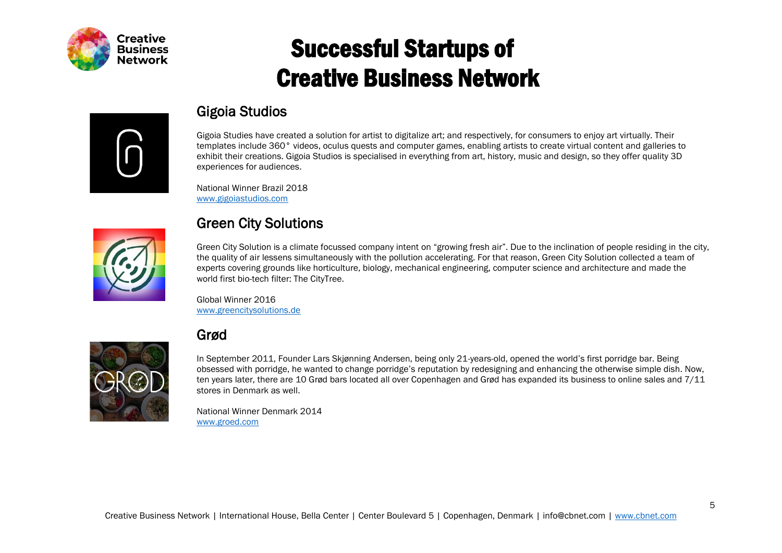



#### Gigoia Studios

Gigoia Studies have created a solution for artist to digitalize art; and respectively, for consumers to enjoy art virtually. Their templates include 360° videos, oculus quests and computer games, enabling artists to create virtual content and galleries to exhibit their creations. Gigoia Studios is specialised in everything from art, history, music and design, so they offer quality 3D experiences for audiences.

National Winner Brazil 2018 [www.gigoiastudios.com](https://www.gigoiastudios.com/)



#### Green City Solutions

Green City Solution is a climate focussed company intent on "growing fresh air". Due to the inclination of people residing in the city, the quality of air lessens simultaneously with the pollution accelerating. For that reason, Green City Solution collected a team of experts covering grounds like horticulture, biology, mechanical engineering, computer science and architecture and made the world first bio-tech filter: The CityTree.

Global Winner 2016 [www.greencitysolutions.de](http://www.greencitysolutions.de/)

#### Grød



In September 2011, Founder Lars Skjønning Andersen, being only 21-years-old, opened the world's first porridge bar. Being obsessed with porridge, he wanted to change porridge's reputation by redesigning and enhancing the otherwise simple dish. Now, ten years later, there are 10 Grød bars located all over Copenhagen and Grød has expanded its business to online sales and 7/11 stores in Denmark as well.

National Winner Denmark 2014 [www.groed.com](https://www.groed.com/en)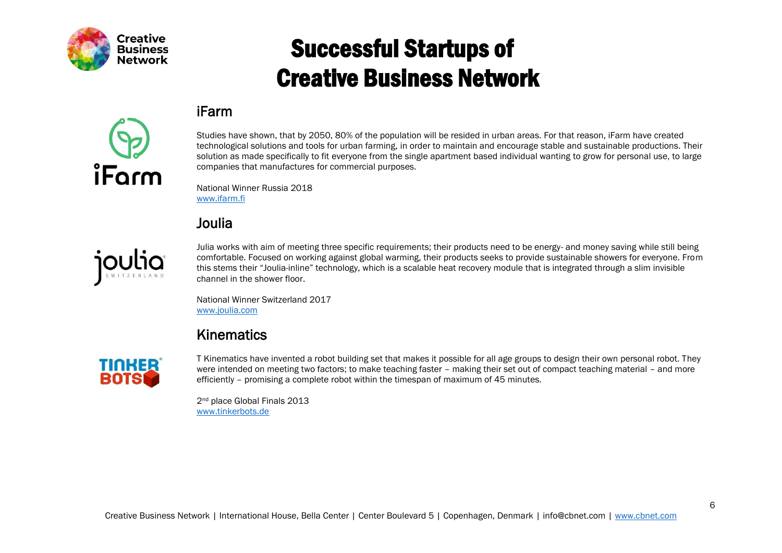

#### iFarm



Studies have shown, that by 2050, 80% of the population will be resided in urban areas. For that reason, iFarm have created technological solutions and tools for urban farming, in order to maintain and encourage stable and sustainable productions. Their solution as made specifically to fit everyone from the single apartment based individual wanting to grow for personal use, to large companies that manufactures for commercial purposes.

National Winner Russia 2018 [www.ifarm.fi](http://www.ifarm.fi/)

#### Joulia



Julia works with aim of meeting three specific requirements; their products need to be energy- and money saving while still being comfortable. Focused on working against global warming, their products seeks to provide sustainable showers for everyone. From this stems their "Joulia-inline" technology, which is a scalable heat recovery module that is integrated through a slim invisible channel in the shower floor.

National Winner Switzerland 2017 [www.joulia.com](http://www.joulia.com/)

#### Kinematics



T Kinematics have invented a robot building set that makes it possible for all age groups to design their own personal robot. They were intended on meeting two factors; to make teaching faster – making their set out of compact teaching material – and more efficiently – promising a complete robot within the timespan of maximum of 45 minutes.

2<sup>nd</sup> place Global Finals 2013 [www.tinkerbots.de](https://www.tinkerbots.de/)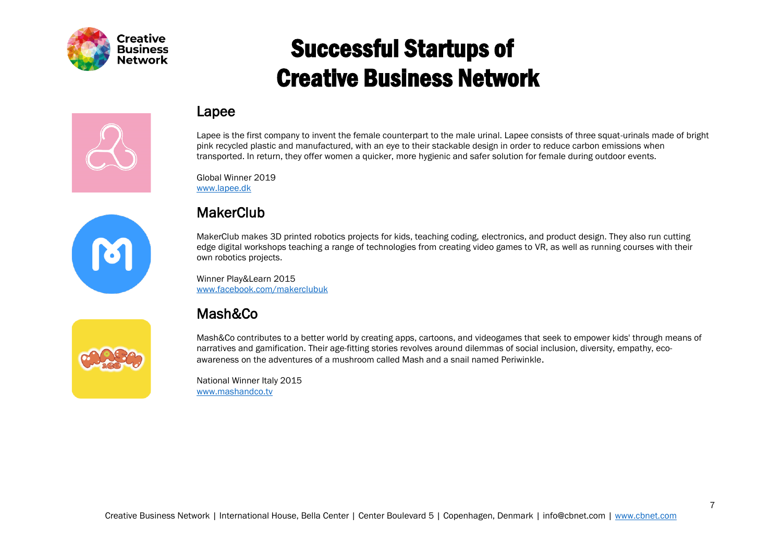

#### Lapee

Lapee is the first company to invent the female counterpart to the male urinal. Lapee consists of three squat-urinals made of bright pink recycled plastic and manufactured, with an eye to their stackable design in order to reduce carbon emissions when transported. In return, they offer women a quicker, more hygienic and safer solution for female during outdoor events.

Global Winner 2019 [www.lapee.dk](https://www.lapee.dk/)



#### **MakerClub**

MakerClub makes 3D printed robotics projects for kids, teaching coding, electronics, and product design. They also run cutting edge digital workshops teaching a range of technologies from creating video games to VR, as well as running courses with their own robotics projects.

Winner Play&Learn 2015 [www.facebook.com/makerclubuk](https://www.facebook.com/makerclubuk/)

#### Mash&Co

Mash&Co contributes to a better world by creating apps, cartoons, and videogames that seek to empower kids' through means of narratives and gamification. Their age-fitting stories revolves around dilemmas of social inclusion, diversity, empathy, ecoawareness on the adventures of a mushroom called Mash and a snail named Periwinkle.

National Winner Italy 2015 [www.mashandco.tv](http://www.mashandco.tv/)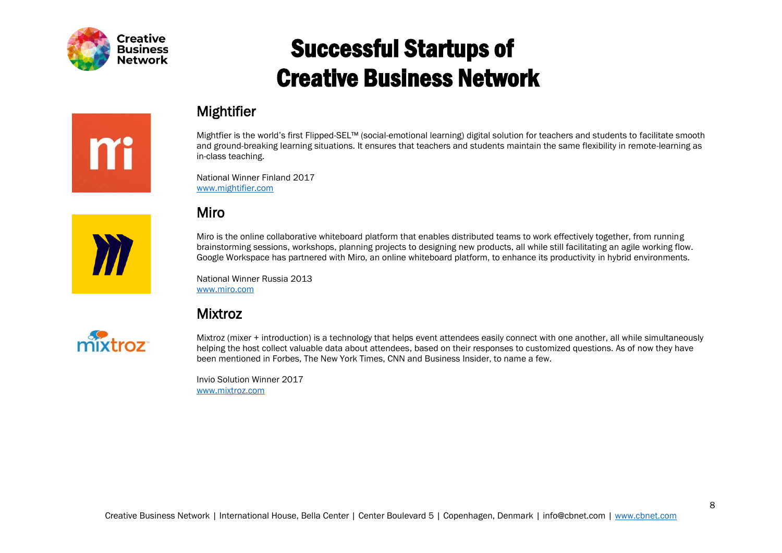

m

## Successful Startups of Creative Business Network

#### Mightifier

Mightfier is the world's first Flipped-SEL™ (social-emotional learning) digital solution for teachers and students to facilitate smooth and ground-breaking learning situations. It ensures that teachers and students maintain the same flexibility in remote-learning as in-class teaching.

National Winner Finland 2017 [www.mightifier.com](http://www.mightifier.com/)

#### Miro

Miro is the online collaborative whiteboard platform that enables distributed teams to work effectively together, from running brainstorming sessions, workshops, planning projects to designing new products, all while still facilitating an agile working flow. Google Workspace has partnered with Miro, an online whiteboard platform, to enhance its productivity in hybrid environments.

National Winner Russia 2013 [www.miro.com](http://www.miro.com/)

#### Mixtroz

Mixtroz (mixer + introduction) is a technology that helps event attendees easily connect with one another, all while simultaneously helping the host collect valuable data about attendees, based on their responses to customized questions. As of now they have been mentioned in Forbes, The New York Times, CNN and Business Insider, to name a few.

Invio Solution Winner 2017 [www.mixtroz.com](https://www.mixtroz.com/)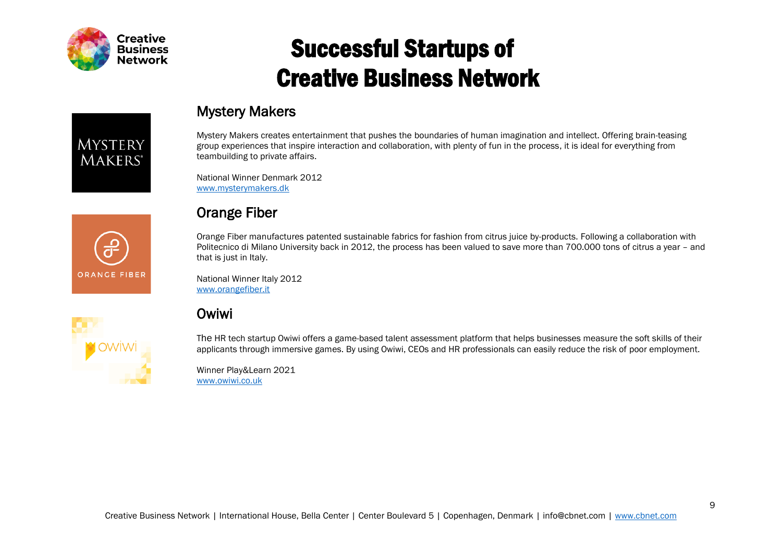

# **MYSTERY MAKERS**\*

#### Mystery Makers

Mystery Makers creates entertainment that pushes the boundaries of human imagination and intellect. Offering brain-teasing group experiences that inspire interaction and collaboration, with plenty of fun in the process, it is ideal for everything from teambuilding to private affairs.

National Winner Denmark 2012 [www.mysterymakers.dk](http://www.mysterymakers.dk/)



**I** OWİW

#### Orange Fiber

Orange Fiber manufactures patented sustainable fabrics for fashion from citrus juice by-products. Following a collaboration with Politecnico di Milano University back in 2012, the process has been valued to save more than 700.000 tons of citrus a year – and that is just in Italy.

National Winner Italy 2012 [www.orangefiber.it](http://www.orangefiber.it/)

#### Owiwi

The HR tech startup Owiwi offers a game-based talent assessment platform that helps businesses measure the soft skills of their applicants through immersive games. By using Owiwi, CEOs and HR professionals can easily reduce the risk of poor employment.

Winner Play&Learn 2021 [www.owiwi.co.uk](http://www.owiwi.co.uk/)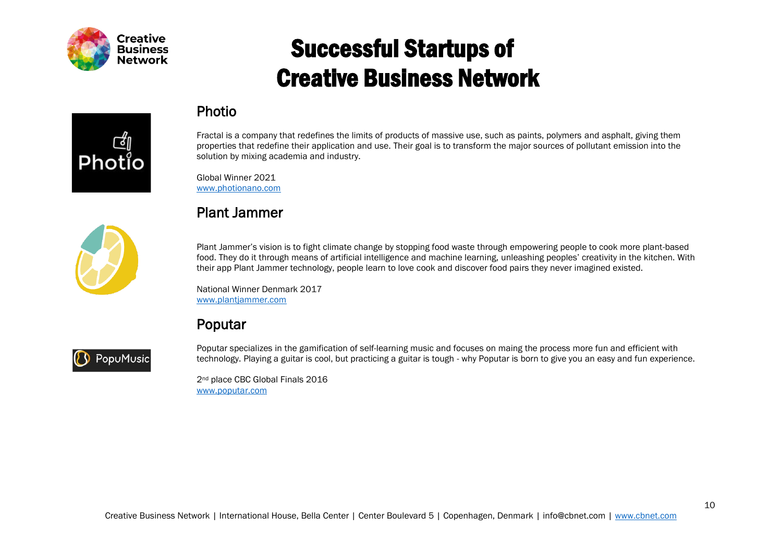

# Photi





Global Winner 2021 [www.photionano.com](https://www.photionano.com/)

Photio

Plant Jammer's vision is to fight climate change by stopping food waste through empowering people to cook more plant-based food. They do it through means of artificial intelligence and machine learning, unleashing peoples' creativity in the kitchen. With their app Plant Jammer technology, people learn to love cook and discover food pairs they never imagined existed.

Fractal is a company that redefines the limits of products of massive use, such as paints, polymers and asphalt, giving them properties that redefine their application and use. Their goal is to transform the major sources of pollutant emission into the

National Winner Denmark 2017 [www.plantjammer.com](https://www.plantjammer.com/)

solution by mixing academia and industry.

#### Poputar



Poputar specializes in the gamification of self-learning music and focuses on maing the process more fun and efficient with technology. Playing a guitar is cool, but practicing a guitar is tough - why Poputar is born to give you an easy and fun experience.

2<sup>nd</sup> place CBC Global Finals 2016 [www.poputar.com](http://www.poputar.com/)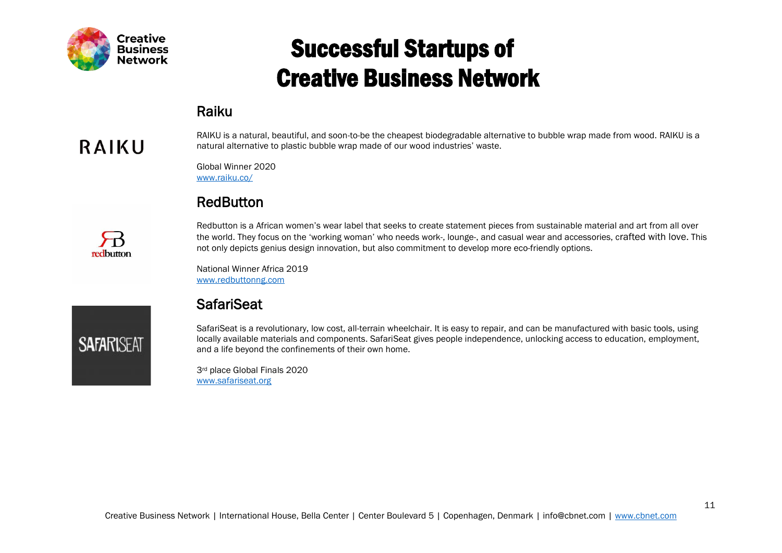

#### Raiku

## RAIKU

redbutton

**SAFARISEAT** 

RAIKU is a natural, beautiful, and soon-to-be the cheapest biodegradable alternative to bubble wrap made from wood. RAIKU is a natural alternative to plastic bubble wrap made of our wood industries' waste.

Global Winner 2020 [www.raiku.co/](http://www.raiku.co/)

#### **RedButton**

Redbutton is a African women's wear label that seeks to create statement pieces from sustainable material and art from all over the world. They focus on the 'working woman' who needs work-, lounge-, and casual wear and accessories, crafted with love. This not only depicts genius design innovation, but also commitment to develop more eco-friendly options.

National Winner Africa 2019 [www.redbuttonng.com](http://www.redbuttonng.com/)

#### **SafariSeat**

SafariSeat is a revolutionary, low cost, all-terrain wheelchair. It is easy to repair, and can be manufactured with basic tools, using locally available materials and components. SafariSeat gives people independence, unlocking access to education, employment, and a life beyond the confinements of their own home.

3rd place Global Finals 2020 [www.safariseat.org](http://www.safariseat.org/)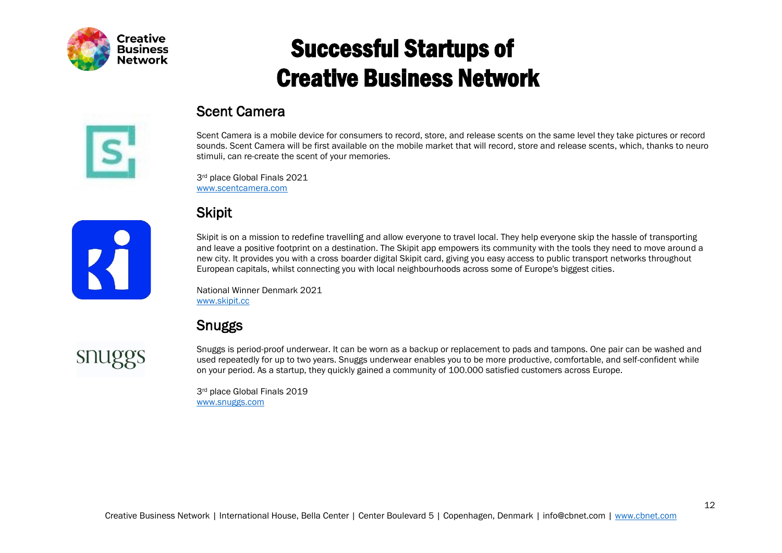

#### Scent Camera

Scent Camera is a mobile device for consumers to record, store, and release scents on the same level they take pictures or record sounds. Scent Camera will be first available on the mobile market that will record, store and release scents, which, thanks to neuro stimuli, can re-create the scent of your memories.

3rd place Global Finals 2021 [www.scentcamera.com](https://www.scentcamera.com/)

#### **Skipit**

Skipit is on a mission to redefine travelling and allow everyone to travel local. They help everyone skip the hassle of transporting and leave a positive footprint on a destination. The Skipit app empowers its community with the tools they need to move around a new city. It provides you with a cross boarder digital Skipit card, giving you easy access to public transport networks throughout European capitals, whilst connecting you with local neighbourhoods across some of Europe's biggest cities.

National Winner Denmark 2021 [www.skipit.cc](http://www.skipit.cc/)

#### Snuggs

**SIILIPS** 

K

Snuggs is period-proof underwear. It can be worn as a backup or replacement to pads and tampons. One pair can be washed and used repeatedly for up to two years. Snuggs underwear enables you to be more productive, comfortable, and self-confident while on your period. As a startup, they quickly gained a community of 100.000 satisfied customers across Europe.

3rd place Global Finals 2019 [www.snuggs.com](http://www.snuggs.com/)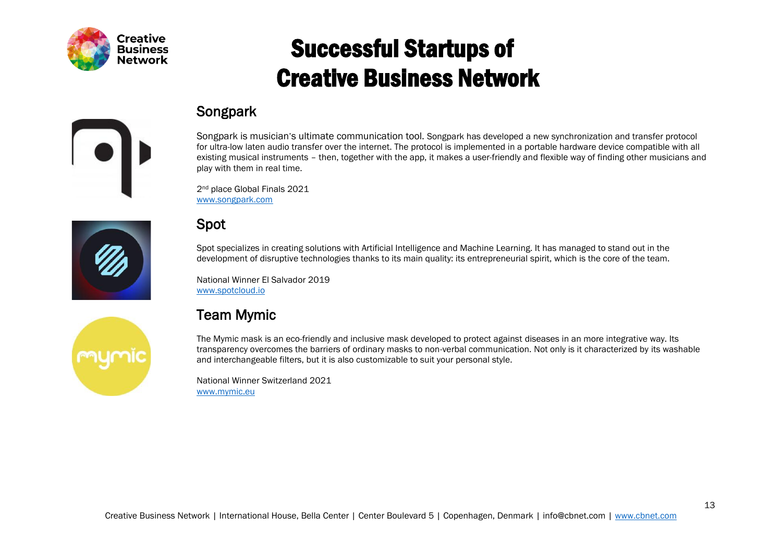

#### Songpark

Songpark is musician's ultimate communication tool. Songpark has developed a new synchronization and transfer protocol for ultra-low laten audio transfer over the internet. The protocol is implemented in a portable hardware device compatible with all existing musical instruments – then, together with the app, it makes a user-friendly and flexible way of finding other musicians and play with them in real time.

2<sup>nd</sup> place Global Finals 2021 [www.songpark.com](https://www.songpark.com/)





Spot specializes in creating solutions with Artificial Intelligence and Machine Learning. It has managed to stand out in the development of disruptive technologies thanks to its main quality: its entrepreneurial spirit, which is the core of the team.

National Winner El Salvador 2019 [www.spotcloud.io](http://www.spotcloud.io/)

#### Team Mymic

The Mymic mask is an eco-friendly and inclusive mask developed to protect against diseases in an more integrative way. Its transparency overcomes the barriers of ordinary masks to non-verbal communication. Not only is it characterized by its washable and interchangeable filters, but it is also customizable to suit your personal style.

National Winner Switzerland 2021 [www.mymic.eu](http://www.mymic.eu/home/home/)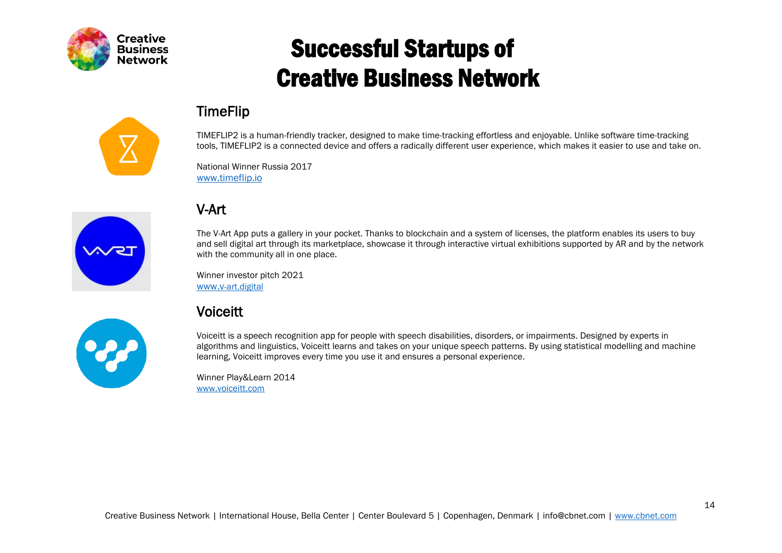

#### TimeFlip

TIMEFLIP2 is a human-friendly tracker, designed to make time-tracking effortless and enjoyable. Unlike software time-tracking tools, TIMEFLIP2 is a connected device and offers a radically different user experience, which makes it easier to use and take on.

National Winner Russia 2017 [www.timeflip.io](http://www.timeflip.io/)



#### V-Art

The V-Art App puts a gallery in your pocket. Thanks to blockchain and a system of licenses, the platform enables its users to buy and sell digital art through its marketplace, showcase it through interactive virtual exhibitions supported by AR and by the network with the community all in one place.

Winner investor pitch 2021 [www.v](http://www.v-art.digital/)[-art.digital](http://www.v-art.digital/)

## Voiceitt

Voiceitt is a speech recognition app for people with speech disabilities, disorders, or impairments. Designed by experts in algorithms and linguistics, Voiceitt learns and takes on your unique speech patterns. By using statistical modelling and machine learning, Voiceitt improves every time you use it and ensures a personal experience.

Winner Play&Learn 2014 [www.voiceitt.com](http://www.voiceitt.com/)